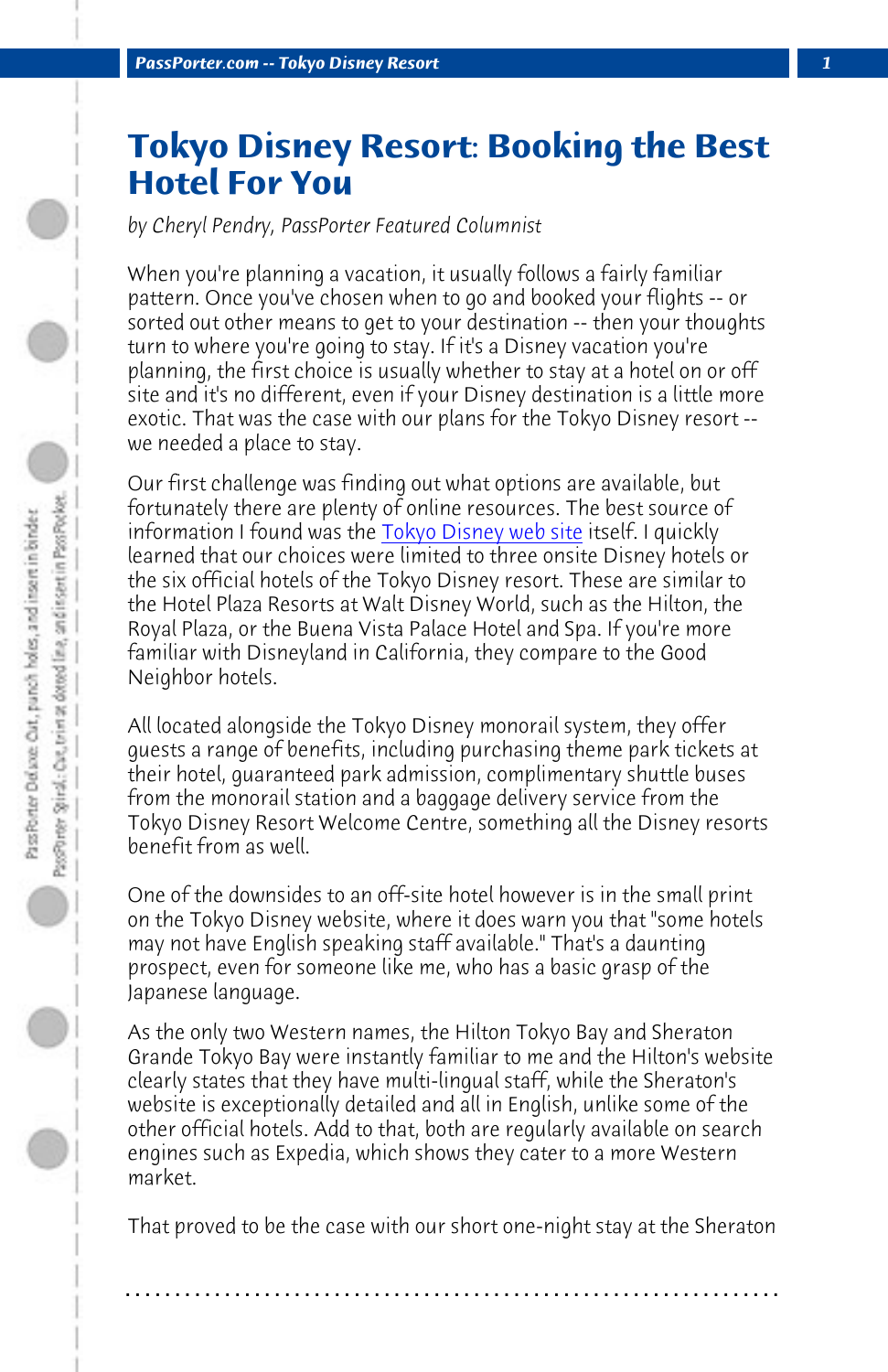**PassPorter.com -- Tokyo Disney Resort** 

## **Tokyo Disney [Resort: Bookin](http://www.tokyodisneyresort.co.jp/index_e.html)g the Best Hotel For You**

*by Cheryl Pendry, PassPorter Featured Columnist*

When you're planning a vacation, it usually follows a fairly familiar pattern. Once you've chosen when to go and booked your flights -- or sorted out other means to get to your destination -- then your thoughts turn to where you're going to stay. If it's a Disney vacation you're planning, the first choice is usually whether to stay at a hotel on or off site and it's no different, even if your Disney destination is a little more exotic. That was the case with our plans for the Tokyo Disney resort - we needed a place to stay.

Our first challenge was finding out what options are available, but fortunately there are plenty of online resources. The best source of information I found was the Tokyo Disney web site itself. I quickly learned that our choices were limited to three onsite Disney hotels or the six official hotels of the Tokyo Disney resort. These are similar to the Hotel Plaza Resorts at Walt Disney World, such as the Hilton, the Royal Plaza, or the Buena Vista Palace Hotel and Spa. If you're more familiar with Disneyland in California, they compare to the Good Neighbor hotels.

All located alongside the Tokyo Disney monorail system, they offer guests a range of benefits, including purchasing theme park tickets at their hotel, guaranteed park admission, complimentary shuttle buses from the monorail station and a baggage delivery service from the Tokyo Disney Resort Welcome Centre, something all the Disney resorts benefit from as well.

One of the downsides to an off-site hotel however is in the small print on the Tokyo Disney website, where it does warn you that "some hotels may not have English speaking staff available." That's a daunting prospect, even for someone like me, who has a basic grasp of the Japanese language.

As the only two Western names, the Hilton Tokyo Bay and Sheraton Grande Tokyo Bay were instantly familiar to me and the Hilton's website clearly states that they have multi-lingual staff, while the Sheraton's website is exceptionally detailed and all in English, unlike some of the other official hotels. Add to that, both are regularly available on search engines such as Expedia, which shows they cater to a more Western market.

That proved to be the case with our short one-night stay at the Sheraton

**. . . . . . . . . . . . . . . . . . . . . . . . . . . . . . . . . . . . . . . . . . . . . . . . . . . . . . . . . . . . . . . . . .**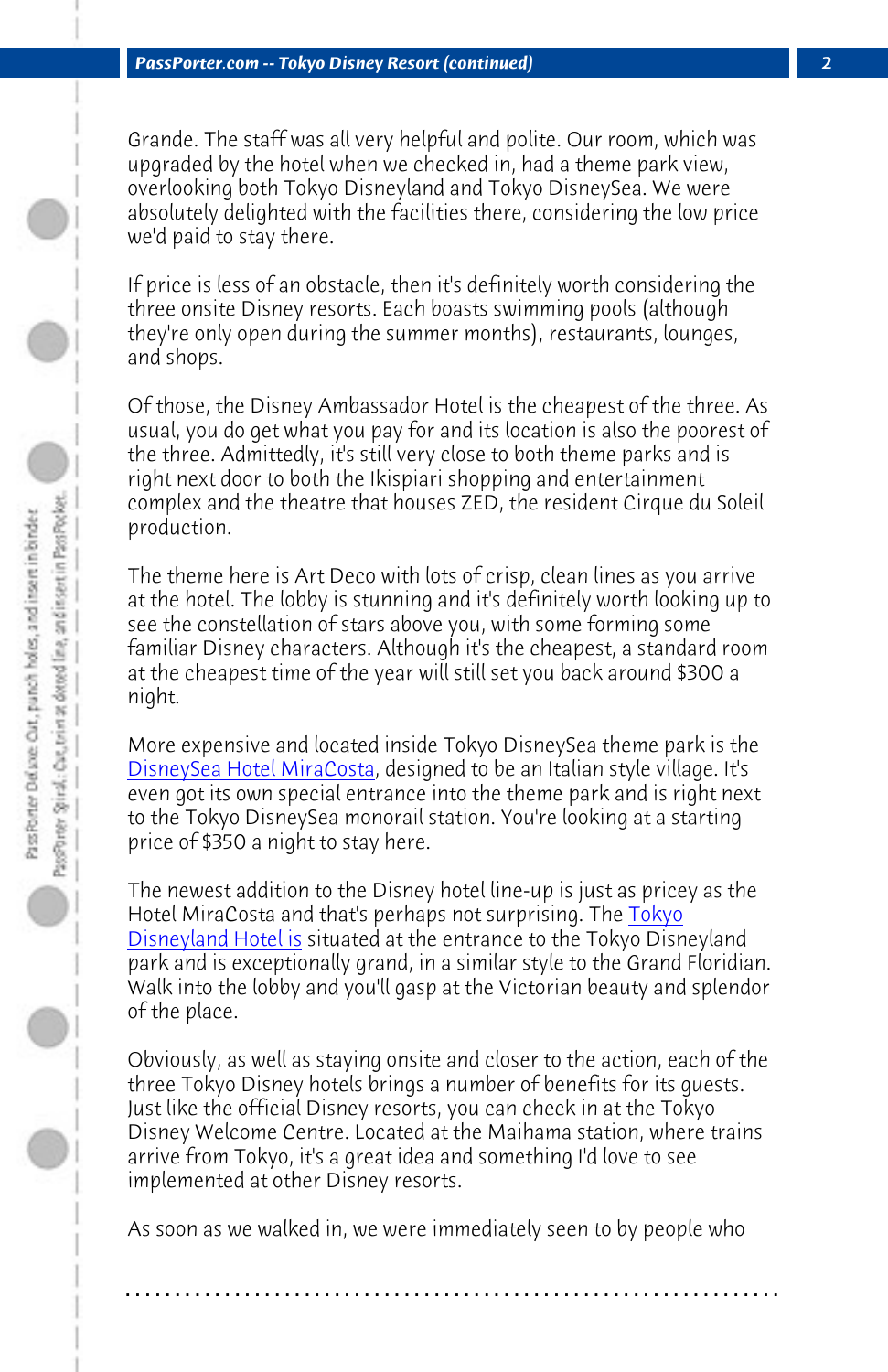Grande. The staff was all very helpful and polite. Our room, which was upgraded by the hotel when we checked in, had a theme park view, overlooking both Tokyo Disneyland and Tokyo DisneySea. We were absolutely delighted with the facilities there, considering the low price we'd paid to stay there.

If price is less of an obstacle, then it's definitely worth considering the three onsite Disney resorts. Each boasts swimming pools (although they're only open during the summer months), restaurants, lounges, [and shops.](http://www.disneyhotels.jp/dhm/index_e.html)

Of those, the Disney Ambassador Hotel is the cheapest of the three. As usual, you do get what you pay for and its location is also the poorest of the three. Admittedly, it's still very close to both theme parks and is right next door to both the Ikispiari shopping and entertainment complex and the theatre that houses ZED, the resident [Cirque](http://www.disneyhotels.jp/tdh/index_e.html) du Soleil [production.](http://www.disneyhotels.jp/tdh/index_e.html)

The theme here is Art Deco with lots of crisp, clean lines as you arrive at the hotel. The lobby is stunning and it's definitely worth looking up to see the constellation of stars above you, with some forming some familiar Disney characters. Although it's the cheapest, a standard room at the cheapest time of the year will still set you back around \$300 a night.

More expensive and located inside Tokyo DisneySea theme park is the DisneySea Hotel MiraCosta, designed to be an Italian style village. It's even got its own special entrance into the theme park and is right next to the Tokyo DisneySea monorail station. You're looking at a starting price of \$350 a night to stay here.

The newest addition to the Disney hotel line-up is just as pricey as the Hotel MiraCosta and that's perhaps not surprising. The Tokyo Disneyland Hotel is situated at the entrance to the Tokyo Disneyland park and is exceptionally grand, in a similar style to the Grand Floridian. Walk into the lobby and you'll gasp at the Victorian beauty and splendor of the place.

Obviously, as well as staying onsite and closer to the action, each of the three Tokyo Disney hotels brings a number of benefits for its guests. Just like the official Disney resorts, you can check in at the Tokyo Disney Welcome Centre. Located at the Maihama station, where trains arrive from Tokyo, it's a great idea and something I'd love to see implemented at other Disney resorts.

As soon as we walked in, we were immediately seen to by people who

**. . . . . . . . . . . . . . . . . . . . . . . . . . . . . . . . . . . . . . . . . . . . . . . . . . . . . . . . . . . . . . . . . .**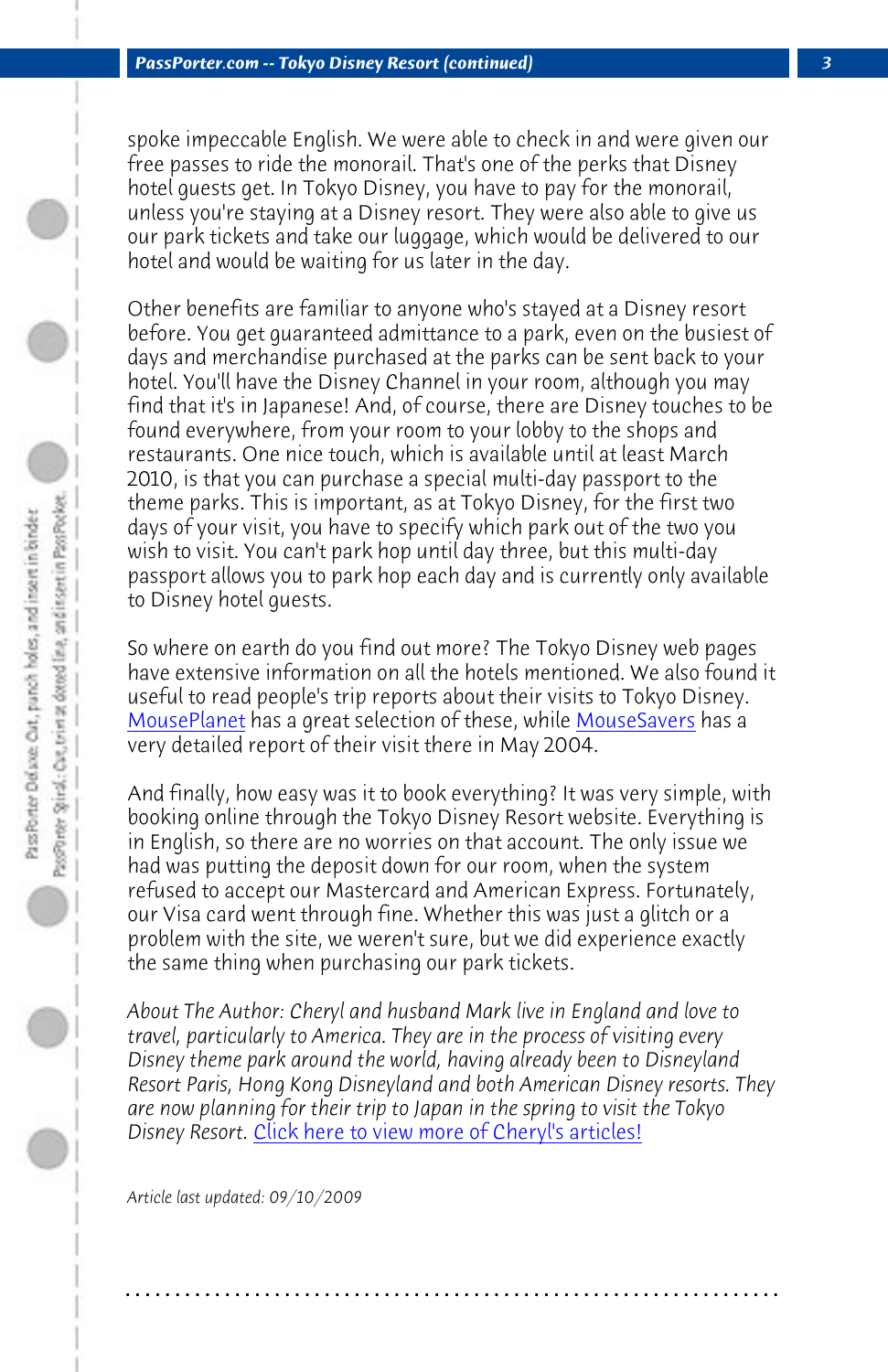*PassPorter.com -- Tokyo Disney Resort (continued) 3*

spoke impeccable English. We were able to check in and were given our free passes to ride the monorail. That's one of the perks that Disney hotel guests get. In Tokyo Disney, you have to pay for the monorail, unless you're staying at a Disney resort. They were also able to give us our park tickets and take our luggage, which would be delivered to our hotel and would be waiting for us later in the day.

[Other benefit](http://www.mouseplanet.com/dtp/trip.rpt/index_files/tr_tokyodl.htm)s are familiar to anyone who's staye[d at a Disney r](http://www.mousesavers.com/tripreports.html)esort before. You get guaranteed admittance to a park, even on the busiest of days and merchandise purchased at the parks can be sent back to your hotel. You'll have the Disney Channel in your room, although you may find that it's in Japanese! And, of course, there are Disney touches to be found everywhere, from your room to your lobby to the shops and restaurants. One nice touch, which is available until at least March 2010, is that you can purchase a special multi-day passport to the theme parks. This is important, as at Tokyo Disney, for the first two days of your visit, you have to specify which park out of the two you wish to visit. You can't park hop until day three, but this multi-day passport allows you to park hop each day and is currently only available to Disney hotel guests.

So where on earth do you find out more? The Tokyo Disney web pages have extensive information on all the hotels mentioned. We also found it useful to read people's trip reports about their visits to Tokyo Disney. MousePlanet [has a great selection of these, while MouseS](http://www.passporter.com/articles/cheryl-pendry-featured-columnist.asp)avers has a very detailed report of their visit there in May 2004.

And finally, how easy was it to book everything? It was very simple, with booking online through the Tokyo Disney Resort website. Everything is in English, so there are no worries on that account. The only issue we had was putting the deposit down for our room, when the system refused to accept our Mastercard and American Express. Fortunately, our Visa card went through fine. Whether this was just a glitch or a problem with the site, we weren't sure, but we did experience exactly the same thing when purchasing our park tickets.

*About The Author: Cheryl and husband Mark live in England and love to travel, particularly to America. They are in the process of visiting every Disney theme park around the world, having already been to Disneyland Resort Paris, Hong Kong Disneyland and both American Disney resorts. They are now planning for their trip to Japan in the spring to visit the Tokyo Disney Resort.* Click here to view more of Cheryl's articles!

**. . . . . . . . . . . . . . . . . . . . . . . . . . . . . . . . . . . . . . . . . . . . . . . . . . . . . . . . . . . . . . . . . .**

*Article last updated: 09/10/2009*